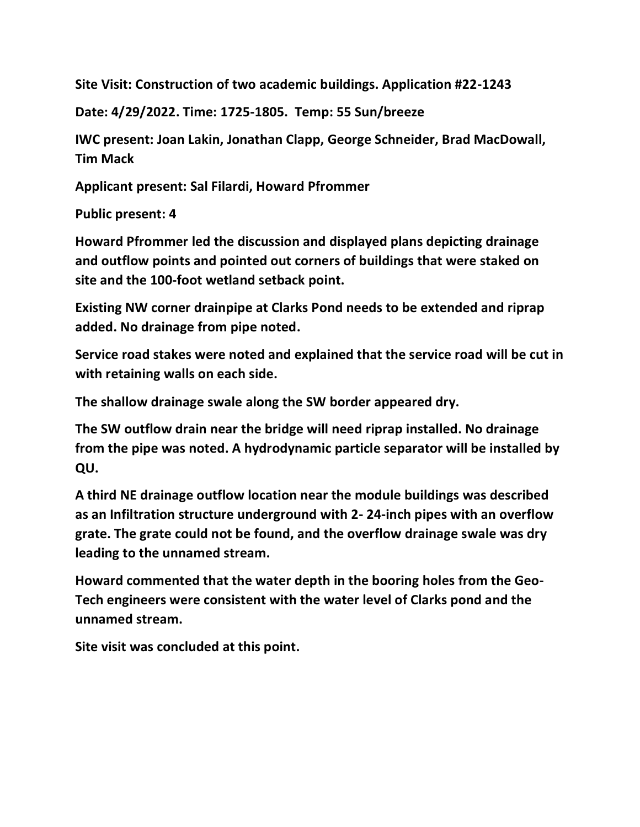**Site Visit: Construction of two academic buildings. Application #22-1243**

**Date: 4/29/2022. Time: 1725-1805. Temp: 55 Sun/breeze**

**IWC present: Joan Lakin, Jonathan Clapp, George Schneider, Brad MacDowall, Tim Mack**

**Applicant present: Sal Filardi, Howard Pfrommer**

**Public present: 4**

**Howard Pfrommer led the discussion and displayed plans depicting drainage and outflow points and pointed out corners of buildings that were staked on site and the 100-foot wetland setback point.**

**Existing NW corner drainpipe at Clarks Pond needs to be extended and riprap added. No drainage from pipe noted.**

**Service road stakes were noted and explained that the service road will be cut in with retaining walls on each side.**

**The shallow drainage swale along the SW border appeared dry.**

**The SW outflow drain near the bridge will need riprap installed. No drainage from the pipe was noted. A hydrodynamic particle separator will be installed by QU.**

**A third NE drainage outflow location near the module buildings was described as an Infiltration structure underground with 2- 24-inch pipes with an overflow grate. The grate could not be found, and the overflow drainage swale was dry leading to the unnamed stream.**

**Howard commented that the water depth in the booring holes from the Geo-Tech engineers were consistent with the water level of Clarks pond and the unnamed stream.**

**Site visit was concluded at this point.**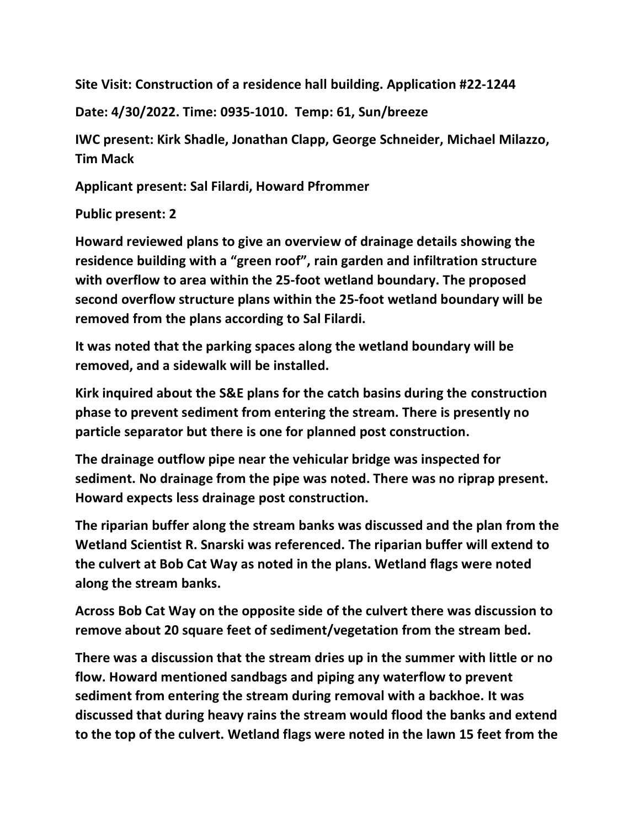**Site Visit: Construction of a residence hall building. Application #22-1244**

**Date: 4/30/2022. Time: 0935-1010. Temp: 61, Sun/breeze**

**IWC present: Kirk Shadle, Jonathan Clapp, George Schneider, Michael Milazzo, Tim Mack**

**Applicant present: Sal Filardi, Howard Pfrommer**

**Public present: 2**

**Howard reviewed plans to give an overview of drainage details showing the residence building with a "green roof", rain garden and infiltration structure with overflow to area within the 25-foot wetland boundary. The proposed second overflow structure plans within the 25-foot wetland boundary will be removed from the plans according to Sal Filardi.**

**It was noted that the parking spaces along the wetland boundary will be removed, and a sidewalk will be installed.**

**Kirk inquired about the S&E plans for the catch basins during the construction phase to prevent sediment from entering the stream. There is presently no particle separator but there is one for planned post construction.**

**The drainage outflow pipe near the vehicular bridge was inspected for sediment. No drainage from the pipe was noted. There was no riprap present. Howard expects less drainage post construction.**

**The riparian buffer along the stream banks was discussed and the plan from the Wetland Scientist R. Snarski was referenced. The riparian buffer will extend to the culvert at Bob Cat Way as noted in the plans. Wetland flags were noted along the stream banks.**

**Across Bob Cat Way on the opposite side of the culvert there was discussion to remove about 20 square feet of sediment/vegetation from the stream bed.**

**There was a discussion that the stream dries up in the summer with little or no flow. Howard mentioned sandbags and piping any waterflow to prevent sediment from entering the stream during removal with a backhoe. It was discussed that during heavy rains the stream would flood the banks and extend to the top of the culvert. Wetland flags were noted in the lawn 15 feet from the**